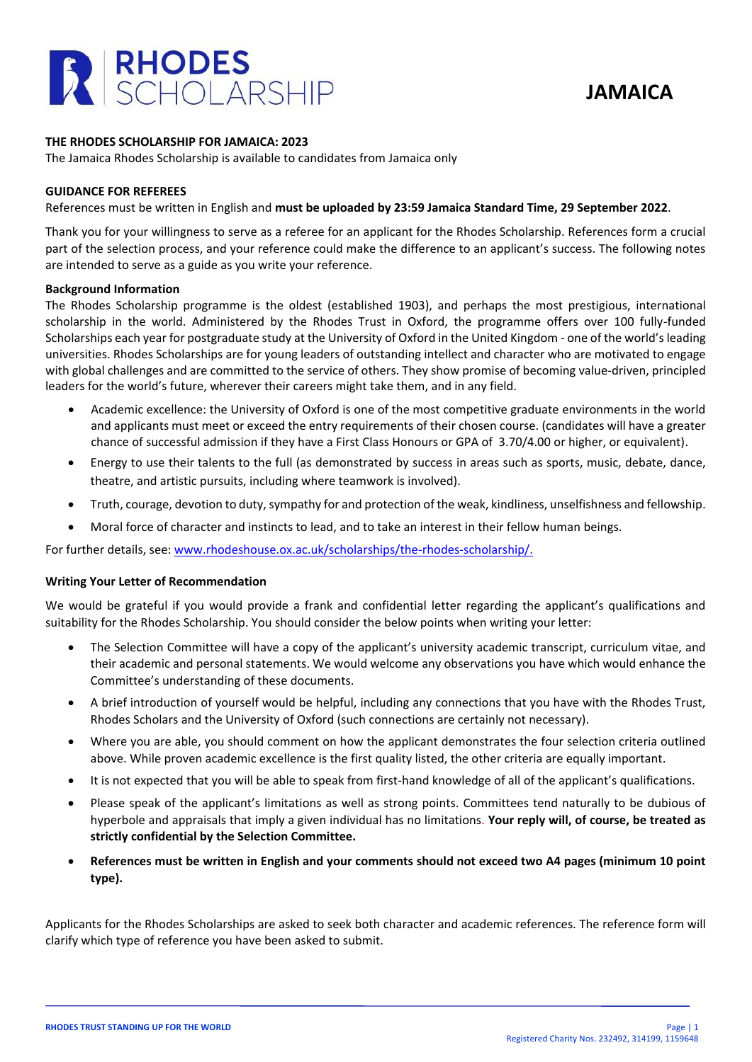

# **THE RHODES SCHOLARSHIP FOR JAMAICA: 2023**

The Jamaica Rhodes Scholarship is available to candidates from Jamaica only

#### **GUIDANCE FOR REFEREES**

References must be written in English and **must be uploaded by 23:59 Jamaica Standard Time, 29 September 2022**.

Thank you for your willingness to serve as a referee for an applicant for the Rhodes Scholarship. References form a crucial part of the selection process, and your reference could make the difference to an applicant's success. The following notes are intended to serve as a guide as you write your reference.

#### **Background Information**

The Rhodes Scholarship programme is the oldest (established 1903), and perhaps the most prestigious, international scholarship in the world. Administered by the Rhodes Trust in Oxford, the programme offers over 100 fully-funded Scholarships each year for postgraduate study at the University of Oxford in the United Kingdom - one of the world's leading universities. Rhodes Scholarships are for young leaders of outstanding intellect and character who are motivated to engage with global challenges and are committed to the service of others. They show promise of becoming value-driven, principled leaders for the world's future, wherever their careers might take them, and in any field.

- Academic excellence: the University of Oxford is one of the most competitive graduate environments in the world and applicants must meet or exceed the entry requirements of their chosen course. (candidates will have a greater chance of successful admission if they have a First Class Honours or GPA of 3.70/4.00 or higher, or equivalent).
- Energy to use their talents to the full (as demonstrated by success in areas such as sports, music, debate, dance, theatre, and artistic pursuits, including where teamwork is involved).
- Truth, courage, devotion to duty, sympathy for and protection of the weak, kindliness, unselfishness and fellowship.
- Moral force of character and instincts to lead, and to take an interest in their fellow human beings.

For further details, see: [www.rhodeshouse.ox.ac.uk/scholarships/the-rhodes-scholarship/.](http://www.rhodeshouse.ox.ac.uk/scholarships/the-rhodes-scholarship/)

# **Writing Your Letter of Recommendation**

We would be grateful if you would provide a frank and confidential letter regarding the applicant's qualifications and suitability for the Rhodes Scholarship. You should consider the below points when writing your letter:

- The Selection Committee will have a copy of the applicant's university academic transcript, curriculum vitae, and their academic and personal statements. We would welcome any observations you have which would enhance the Committee's understanding of these documents.
- A brief introduction of yourself would be helpful, including any connections that you have with the Rhodes Trust, Rhodes Scholars and the University of Oxford (such connections are certainly not necessary).
- Where you are able, you should comment on how the applicant demonstrates the four selection criteria outlined above. While proven academic excellence is the first quality listed, the other criteria are equally important.
- It is not expected that you will be able to speak from first-hand knowledge of all of the applicant's qualifications.
- Please speak of the applicant's limitations as well as strong points. Committees tend naturally to be dubious of hyperbole and appraisals that imply a given individual has no limitations. **Your reply will, of course, be treated as strictly confidential by the Selection Committee.**
- **References must be written in English and your comments should not exceed two A4 pages (minimum 10 point type).**

Applicants for the Rhodes Scholarships are asked to seek both character and academic references. The reference form will clarify which type of reference you have been asked to submit.